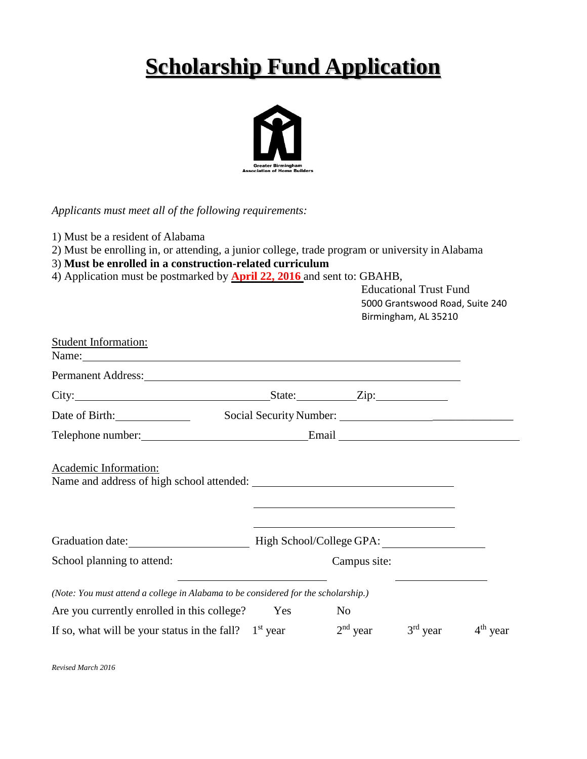# **Scholarship Fund Application**



*Applicants must meet all of the following requirements:*

1) Must be a resident of Alabama

- 2) Must be enrolling in, or attending, a junior college, trade program or university in Alabama
- 3) **Must be enrolled in a construction-related curriculum**
- 4) Application must be postmarked by **April 22, 2016** and sent to: GBAHB, Educational Trust Fund

|                                                                                                                                                                                                                                                              |     |                                                                                                                                                                                                                               | 5000 Grantswood Road, Suite 240<br>Birmingham, AL 35210 |            |
|--------------------------------------------------------------------------------------------------------------------------------------------------------------------------------------------------------------------------------------------------------------|-----|-------------------------------------------------------------------------------------------------------------------------------------------------------------------------------------------------------------------------------|---------------------------------------------------------|------------|
| <b>Student Information:</b><br>Name: Name and the second contract of the second contract of the second contract of the second contract of the second contract of the second contract of the second contract of the second contract of the second contract of |     |                                                                                                                                                                                                                               |                                                         |            |
| Permanent Address: 1988 and 2008 and 2008 and 2008 and 2008 and 2008 and 2008 and 2008 and 2008 and 2008 and 2008 and 2008 and 2008 and 2008 and 2008 and 2008 and 2008 and 2008 and 2008 and 2008 and 2008 and 2008 and 2008                                |     |                                                                                                                                                                                                                               |                                                         |            |
|                                                                                                                                                                                                                                                              |     |                                                                                                                                                                                                                               |                                                         |            |
| Date of Birth:                                                                                                                                                                                                                                               |     |                                                                                                                                                                                                                               |                                                         |            |
| Telephone number: Email Email                                                                                                                                                                                                                                |     |                                                                                                                                                                                                                               |                                                         |            |
|                                                                                                                                                                                                                                                              |     | the control of the control of the control of the control of the control of the control of the control of the control of the control of the control of the control of the control of the control of the control of the control |                                                         |            |
| Graduation date: High School/College GPA:                                                                                                                                                                                                                    |     |                                                                                                                                                                                                                               |                                                         |            |
| School planning to attend:                                                                                                                                                                                                                                   |     | Campus site:                                                                                                                                                                                                                  |                                                         |            |
| (Note: You must attend a college in Alabama to be considered for the scholarship.)                                                                                                                                                                           |     |                                                                                                                                                                                                                               |                                                         |            |
| Are you currently enrolled in this college?                                                                                                                                                                                                                  | Yes | N <sub>0</sub>                                                                                                                                                                                                                |                                                         |            |
| If so, what will be your status in the fall? $1st$ year                                                                                                                                                                                                      |     | $2nd$ year                                                                                                                                                                                                                    | $3rd$ year                                              | $4th$ year |

*Revised March 2016*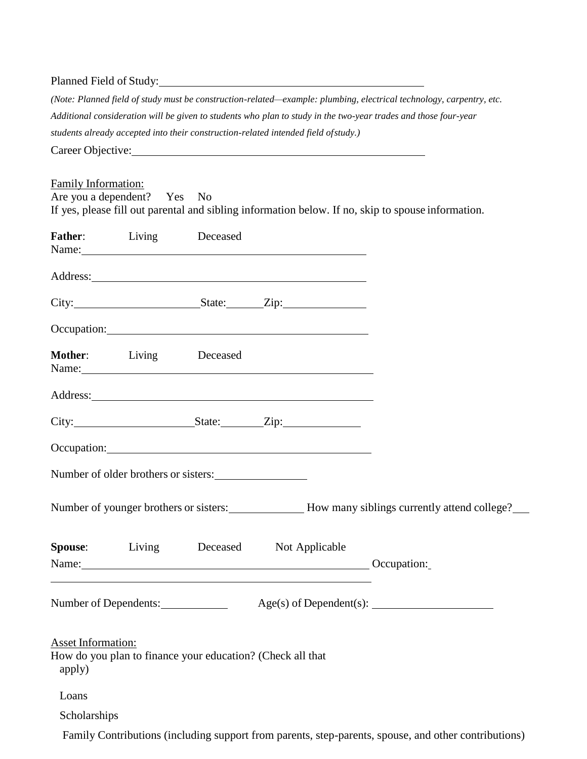### Planned Field of Study:

*(Note: Planned field of study must be construction-related—example: plumbing, electrical technology, carpentry, etc. Additional consideration will be given to students who plan to study in the two-year trades and those four-year students already accepted into their construction-related intended field ofstudy.)*

Career Objective:

| Loans<br>Scholarships               |                                      |                                                                                                                                                                                                                                     |                                                                                                    |
|-------------------------------------|--------------------------------------|-------------------------------------------------------------------------------------------------------------------------------------------------------------------------------------------------------------------------------------|----------------------------------------------------------------------------------------------------|
| <b>Asset Information:</b><br>apply) |                                      | How do you plan to finance your education? (Check all that                                                                                                                                                                          |                                                                                                    |
|                                     | Number of Dependents:                |                                                                                                                                                                                                                                     |                                                                                                    |
|                                     |                                      | Name: Occupation:                                                                                                                                                                                                                   |                                                                                                    |
|                                     |                                      | Spouse: Living Deceased Not Applicable                                                                                                                                                                                              |                                                                                                    |
|                                     |                                      |                                                                                                                                                                                                                                     | Number of younger brothers or sisters: How many siblings currently attend college?                 |
|                                     | Number of older brothers or sisters: |                                                                                                                                                                                                                                     |                                                                                                    |
|                                     |                                      | Occupation: Decumation:                                                                                                                                                                                                             |                                                                                                    |
|                                     |                                      | City: State: Zip:                                                                                                                                                                                                                   |                                                                                                    |
|                                     |                                      | Address: <u>example</u> and the contract of the contract of the contract of the contract of the contract of the contract of the contract of the contract of the contract of the contract of the contract of the contract of the con |                                                                                                    |
| Mother: Living Deceased             |                                      | Name:                                                                                                                                                                                                                               |                                                                                                    |
|                                     |                                      | Occupation: Decumation:                                                                                                                                                                                                             |                                                                                                    |
|                                     |                                      | City: State: Zip:                                                                                                                                                                                                                   |                                                                                                    |
|                                     |                                      |                                                                                                                                                                                                                                     |                                                                                                    |
| Father: Living Deceased             |                                      |                                                                                                                                                                                                                                     |                                                                                                    |
| Are you a dependent? Yes No         |                                      |                                                                                                                                                                                                                                     | If yes, please fill out parental and sibling information below. If no, skip to spouse information. |
| Family Information:                 |                                      |                                                                                                                                                                                                                                     |                                                                                                    |

Family Contributions (including support from parents, step-parents, spouse, and other contributions)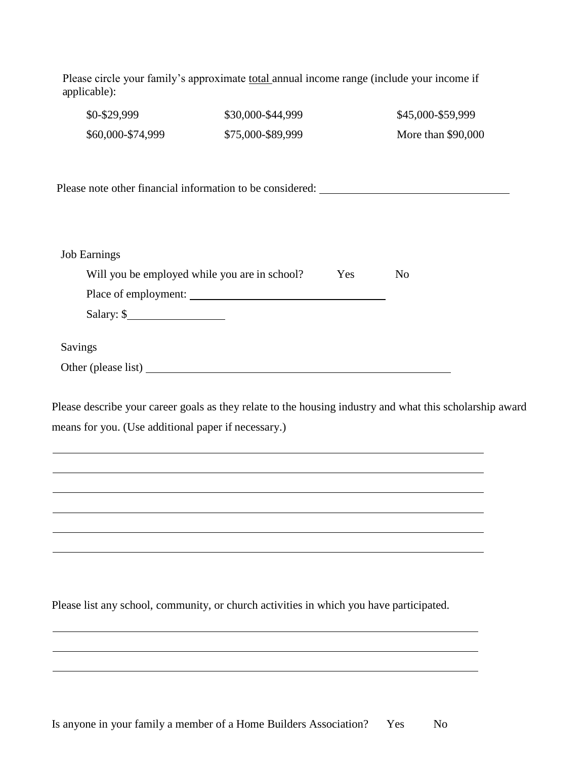| \$0-\$29,999                                  | \$30,000-\$44,999                                                                 | \$45,000-\$59,999  |
|-----------------------------------------------|-----------------------------------------------------------------------------------|--------------------|
| \$60,000-\$74,999                             | \$75,000-\$89,999                                                                 | More than \$90,000 |
|                                               | Please note other financial information to be considered: _______________________ |                    |
|                                               |                                                                                   |                    |
| <b>Job Earnings</b>                           |                                                                                   |                    |
| Will you be employed while you are in school? | Yes<br>N <sub>o</sub>                                                             |                    |
|                                               |                                                                                   |                    |
| Salary: \$                                    |                                                                                   |                    |
| Savings                                       |                                                                                   |                    |
|                                               | Other (please list)                                                               |                    |

Please describe your career goals as they relate to the housing industry and what this scholarship award means for you. (Use additional paper if necessary.)

Please list any school, community, or church activities in which you have participated.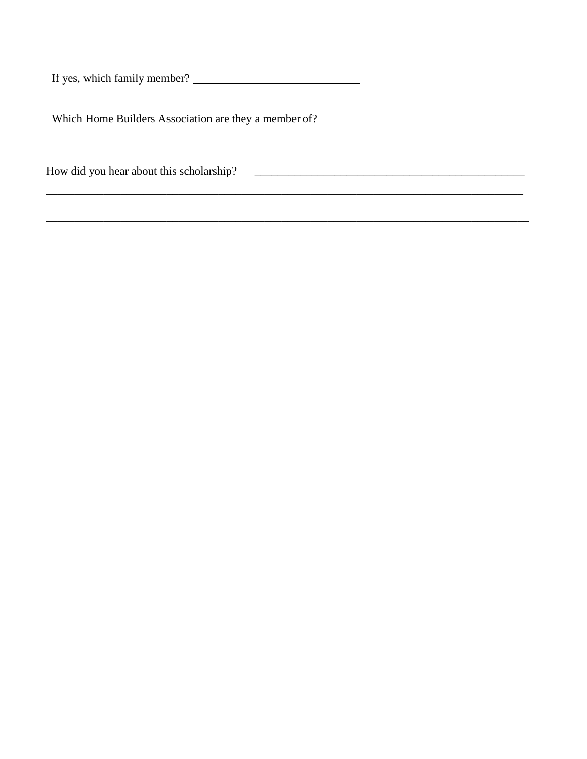If yes, which family member?

Which Home Builders Association are they a member of? \_\_\_\_\_\_\_\_\_\_\_\_\_\_\_\_\_\_\_\_\_\_\_\_\_\_\_

 $\mathcal{L}_\mathcal{L} = \mathcal{L}_\mathcal{L} = \mathcal{L}_\mathcal{L} = \mathcal{L}_\mathcal{L} = \mathcal{L}_\mathcal{L} = \mathcal{L}_\mathcal{L} = \mathcal{L}_\mathcal{L} = \mathcal{L}_\mathcal{L} = \mathcal{L}_\mathcal{L} = \mathcal{L}_\mathcal{L} = \mathcal{L}_\mathcal{L} = \mathcal{L}_\mathcal{L} = \mathcal{L}_\mathcal{L} = \mathcal{L}_\mathcal{L} = \mathcal{L}_\mathcal{L} = \mathcal{L}_\mathcal{L} = \mathcal{L}_\mathcal{L}$ 

How did you hear about this scholarship? \_\_\_\_\_\_\_\_\_\_\_\_\_\_\_\_\_\_\_\_\_\_\_\_\_\_\_\_\_\_\_\_\_\_\_\_\_\_\_\_\_\_\_\_\_\_\_